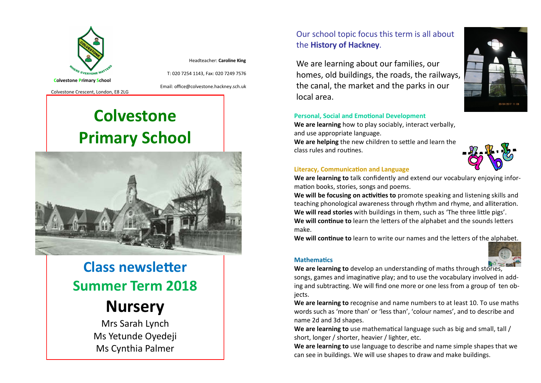

Headteacher: **Caroline King**

T: 020 7254 1143, Fax: 020 7249 7576

Colvestone Crescent, London, E8 2LG

Email: office@colvestone.hackney.sch.uk

# **Colvestone Primary School**



### **Class newsletter Summer Term 2018**

## **Nursery**

Mrs Sarah Lynch Ms Yetunde Oyedeji Ms Cynthia Palmer

### Our school topic focus this term is all about the **History of Hackney**.

We are learning about our families, our homes, old buildings, the roads, the railways, the canal, the market and the parks in our local area.



#### **Personal, Social and Emotional Development**

**We are learning** how to play sociably, interact verbally, and use appropriate language.

**We are helping** the new children to settle and learn the class rules and routines.



#### **Literacy, Communication and Language**

**We are learning to** talk confidently and extend our vocabulary enjoying information books, stories, songs and poems.

**We will be focusing on activities to** promote speaking and listening skills and teaching phonological awareness through rhythm and rhyme, and alliteration. **We will read stories** with buildings in them, such as 'The three little pigs'. **We will continue to** learn the letters of the alphabet and the sounds letters make.

**We will continue to** learn to write our names and the letters of the alphabet.





**We are learning to** develop an understanding of maths through stories,

**Mathematics**

songs, games and imaginative play; and to use the vocabulary involved in adding and subtracting. We will find one more or one less from a group of ten objects.

**We are learning to** recognise and name numbers to at least 10. To use maths words such as 'more than' or 'less than', 'colour names', and to describe and name 2d and 3d shapes.

**We are learning to** use mathematical language such as big and small, tall / short, longer / shorter, heavier / lighter, etc.

**We are learning to** use language to describe and name simple shapes that we can see in buildings. We will use shapes to draw and make buildings.